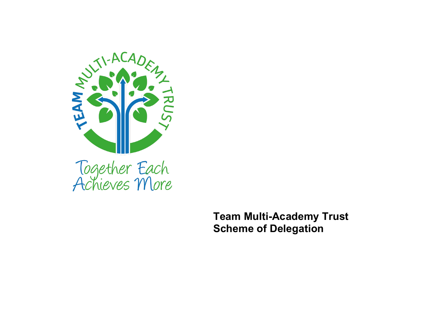

**Team Multi-Academy Trust Scheme of Delegation**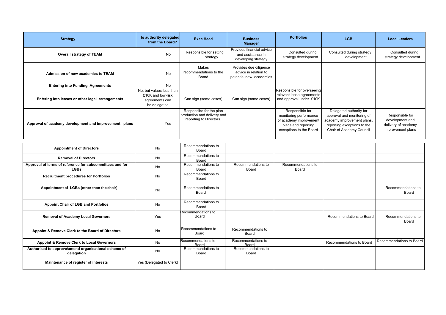| <b>Strategy</b>                                                         | Is authority delegated<br>from the Board?                                       | <b>Exec Head</b>                                                                  | <b>Business</b><br><b>Manager</b>                                          | <b>Portfolios</b>                                                                                                     | <b>LGB</b>                                                                                                                                     | <b>Local Leaders</b>                                                           |
|-------------------------------------------------------------------------|---------------------------------------------------------------------------------|-----------------------------------------------------------------------------------|----------------------------------------------------------------------------|-----------------------------------------------------------------------------------------------------------------------|------------------------------------------------------------------------------------------------------------------------------------------------|--------------------------------------------------------------------------------|
| <b>Overall strategy of TEAM</b>                                         | No                                                                              | Responsible for setting<br>strategy                                               | Provides financial advice<br>and assistance in<br>developing strategy      | Consulted during<br>strategy development                                                                              | Consulted during strategy<br>development                                                                                                       | Consulted during<br>strategy development                                       |
| Admission of new academies to TEAM                                      | <b>No</b>                                                                       | Makes<br>recommendations to the<br>Board                                          | Provides due diligence<br>advice in relation to<br>potential new academies |                                                                                                                       |                                                                                                                                                |                                                                                |
| <b>Entering into Funding Agreements</b>                                 | <b>No</b>                                                                       |                                                                                   |                                                                            |                                                                                                                       |                                                                                                                                                |                                                                                |
| Entering into leases or other legal arrangements                        | No, but values less than<br>£10K and low-risk<br>agreements can<br>be delegated | Can sign (some cases)                                                             | Can sign (some cases)                                                      | Responsible for overseeing<br>relevant lease agreements<br>and approval under £10K                                    |                                                                                                                                                |                                                                                |
| Approval of academy development and improvement plans                   | Yes                                                                             | Responsibe for the plan<br>production and delivery and<br>reporting to Directors. |                                                                            | Responsible for<br>monitoring performance<br>of academy improvement<br>plans and reporting<br>exceptions to the Board | Delegated authority for<br>approval and monitoring of<br>academy improvement plans,<br>reporting exceptions to the<br>Chair of Academy Council | Responsible for<br>development and<br>delivery of academy<br>improvement plans |
| <b>Appointment of Directors</b>                                         | No                                                                              | Recommendations to<br>Board                                                       |                                                                            |                                                                                                                       |                                                                                                                                                |                                                                                |
| <b>Removal of Directors</b>                                             | No                                                                              | Recommendations to<br>Board                                                       |                                                                            |                                                                                                                       |                                                                                                                                                |                                                                                |
| Approval of terms of reference for subcommittees and for<br><b>LGBs</b> | No                                                                              | Recommendations to<br>Board                                                       | Recommendations to<br>Board                                                | Recommendations to<br>Board                                                                                           |                                                                                                                                                |                                                                                |
| <b>Recruitment procedures for Portfolios</b>                            | <b>No</b>                                                                       | Recommendations to<br><b>Board</b>                                                |                                                                            |                                                                                                                       |                                                                                                                                                |                                                                                |
| Appointment of LGBs (other than the chair)                              | No                                                                              | Recommendations to<br>Board                                                       |                                                                            |                                                                                                                       |                                                                                                                                                | Recommendations to<br>Board                                                    |
| <b>Appoint Chair of LGB and Portfolios</b>                              | No                                                                              | Recommendations to<br>Board                                                       |                                                                            |                                                                                                                       |                                                                                                                                                |                                                                                |
| <b>Removal of Academy Local Governors</b>                               | Yes                                                                             | Recommendations to<br>Board                                                       |                                                                            |                                                                                                                       | Recommendations to Board                                                                                                                       | Recommendations to<br>Board                                                    |
| Appoint & Remove Clerk to the Board of Directors                        | <b>No</b>                                                                       | Recommendations to<br>Board                                                       | Recommendations to<br>Board                                                |                                                                                                                       |                                                                                                                                                |                                                                                |
| Appoint & Remove Clerk to Local Governors                               | <b>No</b>                                                                       | Recommendations to<br>Board                                                       | Recommendations to<br>Board                                                |                                                                                                                       | Recommendations to Board                                                                                                                       | Recommendations to Board                                                       |
| Authorised to approve/amend organisational scheme of<br>delegation      | No.                                                                             | Recommendations to<br><b>Board</b>                                                | Recommendations to<br>Board                                                |                                                                                                                       |                                                                                                                                                |                                                                                |
| Maintenance of register of interests                                    | Yes (Delegated to Clerk)                                                        |                                                                                   |                                                                            |                                                                                                                       |                                                                                                                                                |                                                                                |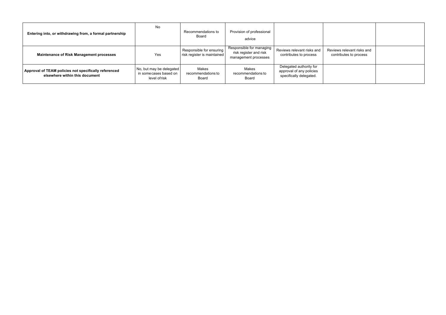| Entering into, or withdrawing from, a formal partnership                                | No                                                                  | Recommendations to<br>Board                             | Provision of professional<br>advice                                        |                                                                                |                                                      |  |
|-----------------------------------------------------------------------------------------|---------------------------------------------------------------------|---------------------------------------------------------|----------------------------------------------------------------------------|--------------------------------------------------------------------------------|------------------------------------------------------|--|
| <b>Maintenance of Risk Management processes</b>                                         | Yes                                                                 | Responsible for ensuring<br>risk register is maintained | Responsible for managing<br>risk register and risk<br>management processes | Reviews relevant risks and<br>contributes to process                           | Reviews relevant risks and<br>contributes to process |  |
| Approval of TEAM policies not specifically referenced<br>elsewhere within this document | No, but may be delegated<br>in some cases based on<br>level of risk | Makes<br>recommendations to<br>Board                    | Makes<br>recommendations to<br>Board                                       | Delegated authority for<br>approval of any policies<br>specifically delegated. |                                                      |  |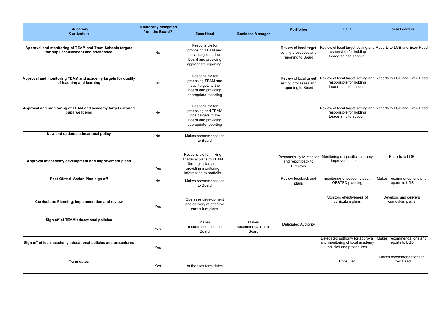| Education/<br><b>Curriculum</b>                                                                   | Is authority delegated<br>from the Board? | <b>Exec Head</b>                                                                                                           | <b>Business Manager</b>              | <b>Portfolios</b>                                                     | <b>LGB</b>                                                                                                          | <b>Local Leaders</b>                        |
|---------------------------------------------------------------------------------------------------|-------------------------------------------|----------------------------------------------------------------------------------------------------------------------------|--------------------------------------|-----------------------------------------------------------------------|---------------------------------------------------------------------------------------------------------------------|---------------------------------------------|
| Approval and monitoring of TEAM and Trust Schools targets<br>for pupil achievement and attendance | <b>No</b>                                 | Responsible for<br>proposing TEAM and<br>local targets to the<br>Board and providing<br>appropriate reporting.             |                                      | Review of local target<br>setting processes and<br>reporting to Board | Review of local target setting and Reports to LGB and Exec Head<br>responsible for holding<br>Leadership to account |                                             |
| Approval and monitoring TEAM and academy targets for quality<br>of teaching and learning          | No                                        | Responsible for<br>proposing TEAM and<br>local targets to the<br>Board and providing<br>appropriate reporting              |                                      | Review of local target<br>setting processes and<br>reporting to Board | Review of local target setting and Reports to LGB and Exec Head<br>responsible for holding<br>Leadership to account |                                             |
| Approval and monitoring of TEAM and academy targets around<br>pupil wellbeing                     | No                                        | Responsible for<br>proposing and TEAM<br>local targets to the<br>Board and providing<br>appropriate reporting              |                                      |                                                                       | Review of local target setting and Reports to LGB and Exec Head<br>responsible for holding<br>Leadership to account |                                             |
| New and updated educational policy                                                                | <b>No</b>                                 | Makes recommendation<br>to Board                                                                                           |                                      |                                                                       |                                                                                                                     |                                             |
| Approval of academy development and improvement plans                                             | Yes                                       | Responsible for linking<br>Academy plans to TEAM<br>Strategic plan and<br>providing monitoring<br>information to portfolio |                                      | Responsibility to monitor<br>and report back to<br><b>Directors</b>   | Monitoring of specific academy<br>improvement plans.                                                                | Reports to LGB                              |
| Post-Ofsted Action Plan sign off                                                                  | No                                        | Makes recommendation<br>to Board                                                                                           |                                      | Review feedback and<br>plans                                          | monitoring of academy post-<br>OFSTED planning                                                                      | Makes recommendations and<br>reports to LGB |
| Curriculum: Planning, implementation and review                                                   | Yes                                       | Oversees development<br>and delivery of effective<br>curriculum plans                                                      |                                      |                                                                       | Monitors effectiveness of<br>curriculum plans                                                                       | Develops and delivers<br>curriculum plans   |
| Sign off of TEAM educational policies                                                             | Yes                                       | Makes<br>recommendations to<br>Board                                                                                       | Makes<br>recommendations to<br>Board | <b>Delegated Authority</b>                                            |                                                                                                                     |                                             |
| Sign off of local academy educational policies and procedures                                     | Yes                                       |                                                                                                                            |                                      |                                                                       | Delegated authority for approval<br>and monitoring of local academy<br>policies and procedures                      | Makes recommendations and<br>reports to LGB |
| <b>Term dates</b>                                                                                 | Yes                                       | Authorises term dates                                                                                                      |                                      |                                                                       | Consulted                                                                                                           | Makes recommendations to<br>Exec Head       |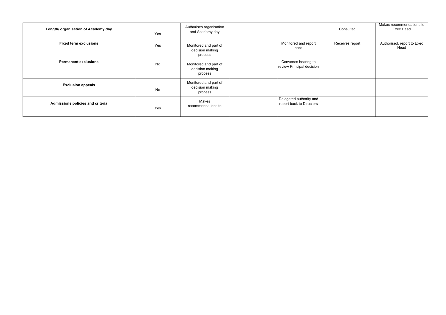| Length/ organisation of Academy day | Yes       | Authorises organisation<br>and Academy day          |                                                     | Consulted       | Makes recommendations to<br>Exec Head |
|-------------------------------------|-----------|-----------------------------------------------------|-----------------------------------------------------|-----------------|---------------------------------------|
| <b>Fixed term exclusions</b>        | Yes       | Monitored and part of<br>decision making<br>process | Monitored and report<br>back                        | Receives report | Authorised, report to Exec<br>Head    |
| <b>Permanent exclusions</b>         | <b>No</b> | Monitored and part of<br>decision making<br>process | Convenes hearing to<br>review Principal decision    |                 |                                       |
| <b>Exclusion appeals</b>            | No        | Monitored and part of<br>decision making<br>process |                                                     |                 |                                       |
| Admissions policies and criteria    | Yes       | Makes<br>recommendations to                         | Delegated authority and<br>report back to Directors |                 |                                       |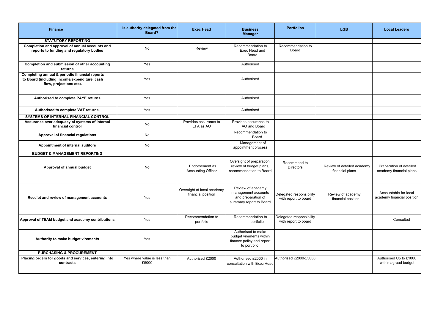| <b>Finance</b>                                                                                                            | Is authority delegated from the<br>Board? | <b>Exec Head</b>                                 | <b>Business</b><br><b>Manager</b>                                                           | <b>Portfolios</b>                                | <b>LGB</b>                                    | <b>Local Leaders</b>                                |
|---------------------------------------------------------------------------------------------------------------------------|-------------------------------------------|--------------------------------------------------|---------------------------------------------------------------------------------------------|--------------------------------------------------|-----------------------------------------------|-----------------------------------------------------|
| <b>STATUTORY REPORTING</b>                                                                                                |                                           |                                                  |                                                                                             |                                                  |                                               |                                                     |
| Completion and approval of annual accounts and<br>reports to funding and regulatory bodies                                | <b>No</b>                                 | Review                                           | Recommendation to<br>Exec Head and<br>Board                                                 | Recommendation to<br>Board                       |                                               |                                                     |
| Completion and submission of other accounting<br>returns                                                                  | Yes                                       |                                                  | Authorised                                                                                  |                                                  |                                               |                                                     |
| Completing annual & periodic financial reports<br>to Board (including income/expenditure, cash<br>flow, projections etc). | Yes                                       |                                                  | Authorised                                                                                  |                                                  |                                               |                                                     |
| Authorised to complete PAYE returns                                                                                       | Yes                                       |                                                  | Authorised                                                                                  |                                                  |                                               |                                                     |
| Authorised to complete VAT returns.                                                                                       | Yes                                       |                                                  | Authorised                                                                                  |                                                  |                                               |                                                     |
| <b>SYSTEMS OF INTERNAL FINANCIAL CONTROL</b>                                                                              |                                           |                                                  |                                                                                             |                                                  |                                               |                                                     |
| Assurance over adequacy of systems of internal<br>financial control                                                       | <b>No</b>                                 | Provides assurance to<br>EFA as AO               | Provides assurance to<br>AO and Board                                                       |                                                  |                                               |                                                     |
| Approval of financial regulations                                                                                         | <b>No</b>                                 |                                                  | Recommendation to<br>Board                                                                  |                                                  |                                               |                                                     |
| Appointment of internal auditors                                                                                          | No                                        |                                                  | Management of<br>appointment process                                                        |                                                  |                                               |                                                     |
| <b>BUDGET &amp; MANAGEMENT REPORTING</b>                                                                                  |                                           |                                                  |                                                                                             |                                                  |                                               |                                                     |
| Approval of annual budget                                                                                                 | <b>No</b>                                 | Endorsement as<br><b>Accounting Officer</b>      | Oversight of preparation,<br>review of budget plans,<br>recommendation to Board             | Recommend to<br><b>Directors</b>                 | Review of detailed academy<br>financial plans | Preparation of detailed<br>academy financial plans  |
| Receipt and review of management accounts                                                                                 | Yes                                       | Oversight of local academy<br>financial position | Review of academy<br>management accounts<br>and preparation of<br>summary report to Board   | Delegated responsibility<br>with report to board | Review of academy<br>financial position       | Accountable for local<br>academy financial position |
| Approval of TEAM budget and academy contributions                                                                         | Yes                                       | Recommendation to<br>portfolio                   | Recommendation to<br>portfolio                                                              | Delegated responsibility<br>with report to board |                                               | Consulted                                           |
| Authority to make budget virements                                                                                        | Yes                                       |                                                  | Authorised to make<br>budget virements within<br>finance policy and report<br>to portfolio. |                                                  |                                               |                                                     |
| <b>PURCHASING &amp; PROCUREMENT</b>                                                                                       |                                           |                                                  |                                                                                             |                                                  |                                               |                                                     |
| Placing orders for goods and services, entering into<br>contracts                                                         | Yes where value is less than<br>£5000     | Authorised £2000                                 | Authorised £2000 in<br>consultation with Exec Head                                          | Authorised £2000-£5000                           |                                               | Authorised Up to £1000<br>within agreed budget      |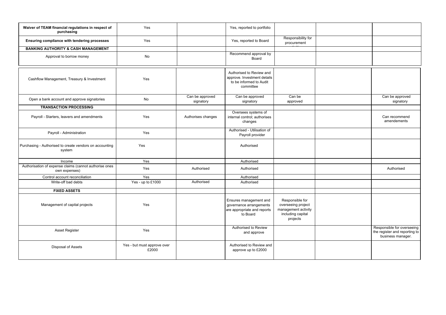| Waiver of TEAM financial regulations in respect of<br>purchasing        | Yes                                  |                              | Yes, reported to portfolio                                                                      |                                                                                               |                                                                                  |
|-------------------------------------------------------------------------|--------------------------------------|------------------------------|-------------------------------------------------------------------------------------------------|-----------------------------------------------------------------------------------------------|----------------------------------------------------------------------------------|
| Ensuring compliance with tendering processes                            | Yes                                  |                              | Yes, reported to Board                                                                          | Responsibility for<br>procurement                                                             |                                                                                  |
| <b>BANKING AUTHORITY &amp; CASH MANAGEMENT</b>                          |                                      |                              |                                                                                                 |                                                                                               |                                                                                  |
| Approval to borrow money                                                | <b>No</b>                            |                              | Recommend approval by<br>Board                                                                  |                                                                                               |                                                                                  |
| Cashflow Management, Treasury & Investment                              | Yes                                  |                              | Authorised to Review and<br>approve. Investment details<br>to be informed to Audit<br>committee |                                                                                               |                                                                                  |
| Open a bank account and approve signatories                             | No                                   | Can be approved<br>signatory | Can be approved<br>signatory                                                                    | Can be<br>approved                                                                            | Can be approved<br>signatory                                                     |
| <b>TRANSACTION PROCESSING</b>                                           |                                      |                              |                                                                                                 |                                                                                               |                                                                                  |
| Payroll - Starters, leavers and amendments                              | Yes                                  | Authorises changes           | Oversees systems of<br>internal control; authorises<br>changes                                  |                                                                                               | Can recommend<br>amendements                                                     |
| Payroll - Administration                                                | Yes                                  |                              | Authorised - Utilisation of<br>Payroll provider                                                 |                                                                                               |                                                                                  |
| Purchasing - Authorised to create vendors on accounting<br>system       | Yes                                  |                              | Authorised                                                                                      |                                                                                               |                                                                                  |
| Income                                                                  | Yes                                  |                              | Authorised                                                                                      |                                                                                               |                                                                                  |
| Authorisation of expense claims (cannot authorise ones<br>own expenses) | Yes                                  | Authorised                   | Authorised                                                                                      |                                                                                               | Authorised                                                                       |
| Control account reconciliation                                          | Yes                                  |                              | Authorised                                                                                      |                                                                                               |                                                                                  |
| Write-off bad debts                                                     | Yes - up to £1000                    | Authorised                   | Authorised                                                                                      |                                                                                               |                                                                                  |
| <b>FIXED ASSETS</b>                                                     |                                      |                              |                                                                                                 |                                                                                               |                                                                                  |
| Management of capital projects                                          | Yes                                  |                              | Ensures management and<br>governance arrangements<br>are appropriate and reports<br>to Board    | Responsible for<br>overseeing project<br>management activity<br>including capital<br>projects |                                                                                  |
| Asset Register                                                          | Yes                                  |                              | Authorised to Review<br>and approve                                                             |                                                                                               | Responsible for overseeing<br>the register and reporting to<br>business manager. |
| Disposal of Assets                                                      | Yes - but must approve over<br>£2000 |                              | Authorised to Review and<br>approve up to £2000                                                 |                                                                                               |                                                                                  |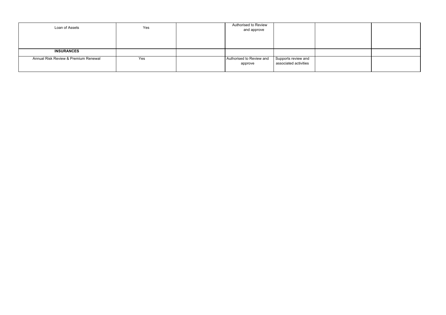| Loan of Assets                       | Yes | Authorised to Review<br>and approve |                                              |  |
|--------------------------------------|-----|-------------------------------------|----------------------------------------------|--|
|                                      |     |                                     |                                              |  |
| <b>INSURANCES</b>                    |     |                                     |                                              |  |
| Annual Risk Review & Premium Renewal | Yes | Authorised to Review and<br>approve | Supports review and<br>associated activities |  |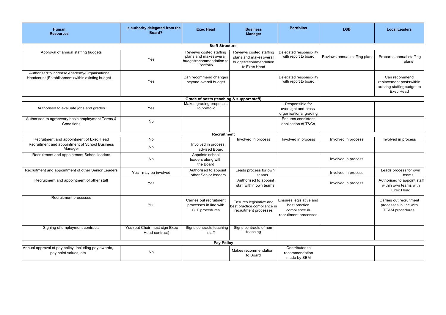| Human<br><b>Resources</b>                                                                          | Is authority delegated from the<br>Board?       | <b>Exec Head</b>                                                                            | <b>Business</b><br><b>Manager</b>                                                           | <b>Portfolios</b>                                                                  | <b>LGB</b>                    | <b>Local Leaders</b>                                                                 |  |  |  |
|----------------------------------------------------------------------------------------------------|-------------------------------------------------|---------------------------------------------------------------------------------------------|---------------------------------------------------------------------------------------------|------------------------------------------------------------------------------------|-------------------------------|--------------------------------------------------------------------------------------|--|--|--|
| <b>Staff Structure</b>                                                                             |                                                 |                                                                                             |                                                                                             |                                                                                    |                               |                                                                                      |  |  |  |
| Approval of annual staffing budgets                                                                | Yes                                             | Reviews costed staffing<br>plans and makes overall<br>budget recommendation to<br>Portfolio | Reviews costed staffing<br>plans and makes overall<br>budget recommendation<br>to Exec Head | Delegated responsibility<br>with report to board                                   | Reviews annual staffing plans | Prepares annual staffing<br>plans                                                    |  |  |  |
| Authorised to Increase Academy/Organisational<br>Headcount (Establishment) within existing budget. | Yes                                             | Can recommend changes<br>beyond overall budget                                              |                                                                                             | Delegated responsibility<br>with report to board                                   |                               | Can recommend<br>replacement posts within<br>existing staffingbudget to<br>Exec Head |  |  |  |
|                                                                                                    |                                                 | Grade of posts (teaching & support staff)                                                   |                                                                                             |                                                                                    |                               |                                                                                      |  |  |  |
| Authorised to evaluate jobs and grades                                                             | Yes                                             | Makes grading proposals<br>To portfolio                                                     |                                                                                             | Responsible for<br>oversight and cross-<br>organisational grading                  |                               |                                                                                      |  |  |  |
| Authorised to agree/vary basic employment Terms &<br>Conditions                                    | <b>No</b>                                       |                                                                                             |                                                                                             | Ensures consistent<br>application of T&Cs                                          |                               |                                                                                      |  |  |  |
|                                                                                                    |                                                 | Recruitment                                                                                 |                                                                                             |                                                                                    |                               |                                                                                      |  |  |  |
| Recruitment and appointment of Exec Head                                                           | <b>No</b>                                       |                                                                                             | Involved in process                                                                         | Involved in process                                                                | Involved in process           | Involved in process                                                                  |  |  |  |
| Recruitment and appointment of School Business<br>Manager                                          | No                                              | Involved in process.<br>advised Board                                                       |                                                                                             |                                                                                    |                               |                                                                                      |  |  |  |
| Recruitment and appointment School leaders                                                         | No                                              | Appoints school<br>leaders along with<br>the Board                                          |                                                                                             |                                                                                    | Involved in process           |                                                                                      |  |  |  |
| Recruitment and appointment of other Senior Leaders                                                | Yes - may be involved                           | Authorised to appoint<br>other Senior leaders                                               | Leads process for own<br>teams                                                              |                                                                                    | Involved in process           | Leads process for own<br>teams                                                       |  |  |  |
| Recruitment and appointment of other staff                                                         | Yes                                             |                                                                                             | Authorised to appoint<br>staff within own teams                                             |                                                                                    | Involved in process           | Authorised to appoint staff<br>within own teams with<br>Exec Head                    |  |  |  |
| Recruitment processes                                                                              | Yes                                             | Carries out recruitment<br>processes in line with<br>CLF procedures                         | Ensures legislative and<br>best practice compliance in<br>recruitment processes             | Ensures legislative and<br>best practice<br>compliance in<br>recruitment processes |                               | Carries out recruitment<br>processes in line with<br>TEAM procedures.                |  |  |  |
| Signing of employment contracts                                                                    | Yes (but Chair must sign Exec<br>Head contract) | Signs contracts teaching<br>staff                                                           | Signs contracts of non-<br>teaching                                                         |                                                                                    |                               |                                                                                      |  |  |  |
|                                                                                                    |                                                 | <b>Pay Policy</b>                                                                           |                                                                                             |                                                                                    |                               |                                                                                      |  |  |  |
| Annual approval of pay policy, including pay awards,<br>pay point values, etc                      | <b>No</b>                                       |                                                                                             | Makes recommendation<br>to Board                                                            | Contributes to<br>recommendation<br>made by SBM                                    |                               |                                                                                      |  |  |  |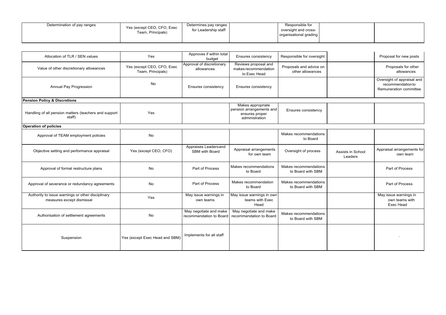| Determination of pay ranges<br>Yes (except CEO, CFO, Exec<br>Team, Principals) | Determines pay ranges<br>for Leadership staff |  | Responsible for<br>oversight and cross-<br>organisational grading |  |  |
|--------------------------------------------------------------------------------|-----------------------------------------------|--|-------------------------------------------------------------------|--|--|
|--------------------------------------------------------------------------------|-----------------------------------------------|--|-------------------------------------------------------------------|--|--|

| Allocation of TLR / SEN values                                                 | Yes                                             | Approves if within total<br>budget                | Ensures consistency                                                               | Responsible for oversight                   |                              | Proposal for new posts                                                    |
|--------------------------------------------------------------------------------|-------------------------------------------------|---------------------------------------------------|-----------------------------------------------------------------------------------|---------------------------------------------|------------------------------|---------------------------------------------------------------------------|
| Value of other discretionary allowances                                        | Yes (except CEO, CFO, Exec<br>Team, Principals) | Approval of discretionary<br>allowances           | Reviews proposal and<br>makes recommendation<br>to Exec Head                      | Proposals and advice on<br>other allowances |                              | Proposals for other<br>allowances                                         |
| Annual Pay Progression                                                         | No                                              | Ensures consistency                               | Ensures consistency                                                               |                                             |                              | Oversight of appraisal and<br>recommendation to<br>Remuneration committee |
| <b>Pension Policy &amp; Discretions</b>                                        |                                                 |                                                   |                                                                                   |                                             |                              |                                                                           |
| Handling of all pension matters (teachers and support<br>staff)                | Yes                                             |                                                   | Makes appropriate<br>pension arrangements and<br>ensures proper<br>administration | Ensures consistency                         |                              |                                                                           |
| <b>Operation of policies</b>                                                   |                                                 |                                                   |                                                                                   |                                             |                              |                                                                           |
| Approval of TEAM employment policies                                           | No                                              |                                                   |                                                                                   | Makes recommendations<br>to Board           |                              |                                                                           |
| Objective setting and performance appraisal                                    | Yes (except CEO, CFO)                           | Appraises Leaders and<br>SBM with Board           | Appraisal arrangements<br>for own team                                            | Oversight of process                        | Assists in School<br>Leaders | Appraisal arrangements for<br>own team                                    |
| Approval of formal restructure plans                                           | <b>No</b>                                       | Part of Process                                   | Makes recommendations<br>to Board                                                 | Makes recommendations<br>to Board with SBM  |                              | Part of Process                                                           |
| Approval of severance or redundancy agreements                                 | No                                              | Part of Process                                   | Makes recommendation<br>to Board                                                  | Makes recommendations<br>to Board with SBM  |                              | Part of Process                                                           |
| Authority to issue warnings or other disciplinary<br>measures except dismissal | Yes                                             | May issue warnings in<br>own teams                | May issue warnings in own<br>teams with Exec<br>Head                              |                                             |                              | May issue warnings in<br>own teams with<br>Exec Head                      |
| Authorisation of settlement agreements                                         | No                                              | May negotiate and make<br>recommendation to Board | May negotiate and make<br>recommendation to Board                                 | Makes recommendations<br>to Board with SBM  |                              |                                                                           |
| Suspension                                                                     | Yes (except Exec Head and SBM)                  | Implements for all staff                          |                                                                                   |                                             |                              |                                                                           |